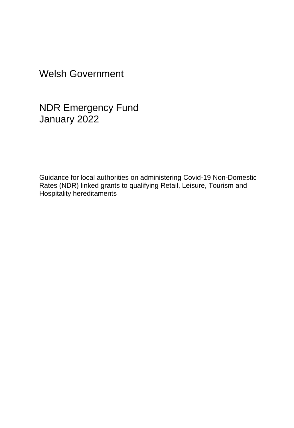Welsh Government

NDR Emergency Fund January 2022

Guidance for local authorities on administering Covid-19 Non-Domestic Rates (NDR) linked grants to qualifying Retail, Leisure, Tourism and Hospitality hereditaments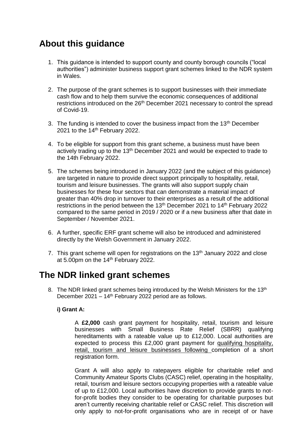## **About this guidance**

- 1. This guidance is intended to support county and county borough councils ("local authorities") administer business support grant schemes linked to the NDR system in Wales.
- 2. The purpose of the grant schemes is to support businesses with their immediate cash flow and to help them survive the economic consequences of additional restrictions introduced on the 26<sup>th</sup> December 2021 necessary to control the spread of Covid-19.
- 3. The funding is intended to cover the business impact from the  $13<sup>th</sup>$  December 2021 to the 14<sup>th</sup> February 2022.
- 4. To be eligible for support from this grant scheme, a business must have been actively trading up to the 13<sup>th</sup> December 2021 and would be expected to trade to the 14th February 2022.
- 5. The schemes being introduced in January 2022 (and the subject of this guidance) are targeted in nature to provide direct support principally to hospitality, retail, tourism and leisure businesses. The grants will also support supply chain businesses for these four sectors that can demonstrate a material impact of greater than 40% drop in turnover to their enterprises as a result of the additional restrictions in the period between the 13<sup>th</sup> December 2021 to 14<sup>th</sup> February 2022 compared to the same period in 2019 / 2020 or if a new business after that date in September / November 2021.
- 6. A further, specific ERF grant scheme will also be introduced and administered directly by the Welsh Government in January 2022.
- 7. This grant scheme will open for registrations on the 13<sup>th</sup> January 2022 and close at 5.00pm on the 14th February 2022.

### **The NDR linked grant schemes**

8. The NDR linked grant schemes being introduced by the Welsh Ministers for the 13<sup>th</sup> December 2021 – 14<sup>th</sup> February 2022 period are as follows.

### **i) Grant A:**

A **£2,000** cash grant payment for hospitality, retail, tourism and leisure businesses with Small Business Rate Relief (SBRR) qualifying hereditaments with a rateable value up to £12,000. Local authorities are expected to process this £2,000 grant payment for qualifying hospitality, retail, tourism and leisure businesses following completion of a short registration form.

Grant A will also apply to ratepayers eligible for charitable relief and Community Amateur Sports Clubs (CASC) relief, operating in the hospitality, retail, tourism and leisure sectors occupying properties with a rateable value of up to £12,000. Local authorities have discretion to provide grants to notfor-profit bodies they consider to be operating for charitable purposes but aren't currently receiving charitable relief or CASC relief. This discretion will only apply to not-for-profit organisations who are in receipt of or have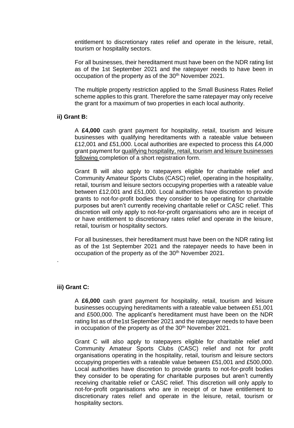entitlement to discretionary rates relief and operate in the leisure, retail, tourism or hospitality sectors.

For all businesses, their hereditament must have been on the NDR rating list as of the 1st September 2021 and the ratepayer needs to have been in occupation of the property as of the 30<sup>th</sup> November 2021.

The multiple property restriction applied to the Small Business Rates Relief scheme applies to this grant. Therefore the same ratepayer may only receive the grant for a maximum of two properties in each local authority.

#### **ii) Grant B:**

A **£4,000** cash grant payment for hospitality, retail, tourism and leisure businesses with qualifying hereditaments with a rateable value between £12,001 and £51,000. Local authorities are expected to process this £4,000 grant payment for qualifying hospitality, retail, tourism and leisure businesses following completion of a short registration form.

Grant B will also apply to ratepayers eligible for charitable relief and Community Amateur Sports Clubs (CASC) relief, operating in the hospitality, retail, tourism and leisure sectors occupying properties with a rateable value between £12,001 and £51,000. Local authorities have discretion to provide grants to not-for-profit bodies they consider to be operating for charitable purposes but aren't currently receiving charitable relief or CASC relief. This discretion will only apply to not-for-profit organisations who are in receipt of or have entitlement to discretionary rates relief and operate in the leisure, retail, tourism or hospitality sectors.

For all businesses, their hereditament must have been on the NDR rating list as of the 1st September 2021 and the ratepayer needs to have been in occupation of the property as of the 30<sup>th</sup> November 2021.

#### **iii) Grant C:**

.

A **£6,000** cash grant payment for hospitality, retail, tourism and leisure businesses occupying hereditaments with a rateable value between £51,001 and £500,000. The applicant's hereditament must have been on the NDR rating list as of the1st September 2021 and the ratepayer needs to have been in occupation of the property as of the 30<sup>th</sup> November 2021.

Grant C will also apply to ratepayers eligible for charitable relief and Community Amateur Sports Clubs (CASC) relief and not for profit organisations operating in the hospitality, retail, tourism and leisure sectors occupying properties with a rateable value between £51,001 and £500,000. Local authorities have discretion to provide grants to not-for-profit bodies they consider to be operating for charitable purposes but aren't currently receiving charitable relief or CASC relief. This discretion will only apply to not-for-profit organisations who are in receipt of or have entitlement to discretionary rates relief and operate in the leisure, retail, tourism or hospitality sectors.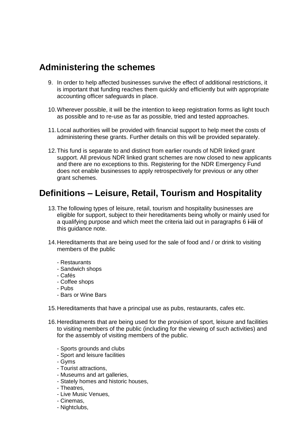### **Administering the schemes**

- 9. In order to help affected businesses survive the effect of additional restrictions, it is important that funding reaches them quickly and efficiently but with appropriate accounting officer safeguards in place.
- 10.Wherever possible, it will be the intention to keep registration forms as light touch as possible and to re-use as far as possible, tried and tested approaches.
- 11.Local authorities will be provided with financial support to help meet the costs of administering these grants. Further details on this will be provided separately.
- 12.This fund is separate to and distinct from earlier rounds of NDR linked grant support. All previous NDR linked grant schemes are now closed to new applicants and there are no exceptions to this. Registering for the NDR Emergency Fund does not enable businesses to apply retrospectively for previous or any other grant schemes.

## **Definitions – Leisure, Retail, Tourism and Hospitality**

- 13.The following types of leisure, retail, tourism and hospitality businesses are eligible for support, subject to their hereditaments being wholly or mainly used for a qualifying purpose and which meet the criteria laid out in paragraphs 6 **i-iii** of this guidance note.
- 14.Hereditaments that are being used for the sale of food and / or drink to visiting members of the public
	- Restaurants
	- Sandwich shops
	- Cafés
	- Coffee shops
	- Pubs
	- Bars or Wine Bars
- 15.Hereditaments that have a principal use as pubs, restaurants, cafes etc.
- 16.Hereditaments that are being used for the provision of sport, leisure and facilities to visiting members of the public (including for the viewing of such activities) and for the assembly of visiting members of the public.
	- Sports grounds and clubs
	- Sport and leisure facilities
	- Gyms
	- Tourist attractions,
	- Museums and art galleries,
	- Stately homes and historic houses,
	- Theatres,
	- Live Music Venues,
	- Cinemas,
	- Nightclubs,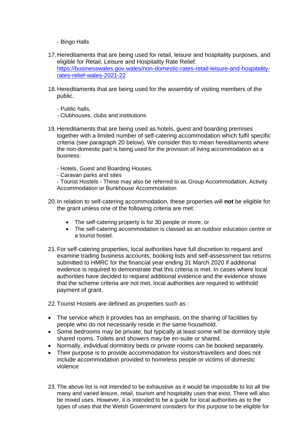- Bingo Halls
- 17.Hereditaments that are being used for retail, leisure and hospitality purposes, and eligible for Retail, Leisure and Hospitality Rate Relief. [https://businesswales.gov.wales/non-domestic-rates-retail-leisure-and-hospitality](https://businesswales.gov.wales/non-domestic-rates-retail-leisure-and-hospitality-rates-relief-wales-2021-22)[rates-relief-wales-2021-22](https://businesswales.gov.wales/non-domestic-rates-retail-leisure-and-hospitality-rates-relief-wales-2021-22)
- 18.Hereditaments that are being used for the assembly of visiting members of the public.
	- Public halls,
	- Clubhouses, clubs and institutions
- 19. Hereditaments that are being used as hotels, guest and boarding premises together with a limited number of self-catering accommodation which fulfil specific criteria (see paragraph 20 below). We consider this to mean hereditaments where the non-domestic part is being used for the provision of living accommodation as a business:
	- Hotels, Guest and Boarding Houses,
	- Caravan parks and sites

- Tourist Hostels - These may also be referred to as Group Accommodation, Activity Accommodation or Bunkhouse Accommodation

- 20.In relation to self-catering accommodation, these properties will **not** be eligible for the grant unless one of the following criteria are met:
	- The self-catering property is for 30 people or more, or
	- The self-catering accommodation is classed as an outdoor education centre or a tourist hostel.
- 21.For self-catering properties, local authorities have full discretion to request and examine trading business accounts, booking lists and self-assessment tax returns submitted to HMRC for the financial year ending 31 March 2020 if additional evidence is required to demonstrate that this criteria is met. In cases where local authorities have decided to request additional evidence and the evidence shows that the scheme criteria are not met, local authorities are required to withhold payment of grant.
- 22.Tourist Hostels are defined as properties such as :
- The service which it provides has an emphasis, on the sharing of facilities by people who do not necessarily reside in the same household.
- Some bedrooms may be private, but typically at least some will be dormitory style shared rooms. Toilets and showers may be en-suite or shared.
- Normally, individual dormitory beds or private rooms can be booked separately.
- Their purpose is to provide accommodation for visitors/travellers and does not include accommodation provided to homeless people or victims of domestic violence
- 23. The above list is not intended to be exhaustive as it would be impossible to list all the many and varied leisure, retail, tourism and hospitality uses that exist. There will also be mixed uses. However, it is intended to be a guide for local authorities as to the types of uses that the Welsh Government considers for this purpose to be eligible for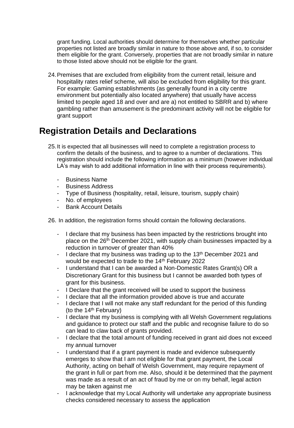grant funding. Local authorities should determine for themselves whether particular properties not listed are broadly similar in nature to those above and, if so, to consider them eligible for the grant. Conversely, properties that are not broadly similar in nature to those listed above should not be eligible for the grant.

24.Premises that are excluded from eligibility from the current retail, leisure and hospitality rates relief scheme, will also be excluded from eligibility for this grant. For example: Gaming establishments (as generally found in a city centre environment but potentially also located anywhere) that usually have access limited to people aged 18 and over and are a) not entitled to SBRR and b) where gambling rather than amusement is the predominant activity will not be eligible for grant support

## **Registration Details and Declarations**

- 25.It is expected that all businesses will need to complete a registration process to confirm the details of the business, and to agree to a number of declarations. This registration should include the following information as a minimum (however individual LA's may wish to add additional information in line with their process requirements).
	- Business Name
	- **Business Address**
	- Type of Business (hospitality, retail, leisure, tourism, supply chain)
	- No. of employees
	- **Bank Account Details**

26. In addition, the registration forms should contain the following declarations.

- I declare that my business has been impacted by the restrictions brought into place on the 26th December 2021, with supply chain businesses impacted by a reduction in turnover of greater than 40%
- I declare that my business was trading up to the 13<sup>th</sup> December 2021 and would be expected to trade to the 14<sup>th</sup> February 2022
- I understand that I can be awarded a Non-Domestic Rates Grant(s) OR a Discretionary Grant for this business but I cannot be awarded both types of grant for this business.
- I Declare that the grant received will be used to support the business
- I declare that all the information provided above is true and accurate
- I declare that I will not make any staff redundant for the period of this funding (to the  $14<sup>th</sup>$  February)
- I declare that my business is complying with all Welsh Government regulations and guidance to protect our staff and the public and recognise failure to do so can lead to claw back of grants provided.
- I declare that the total amount of funding received in grant aid does not exceed my annual turnover
- I understand that if a grant payment is made and evidence subsequently emerges to show that I am not eligible for that grant payment, the Local Authority, acting on behalf of Welsh Government, may require repayment of the grant in full or part from me. Also, should it be determined that the payment was made as a result of an act of fraud by me or on my behalf, legal action may be taken against me
- I acknowledge that my Local Authority will undertake any appropriate business checks considered necessary to assess the application